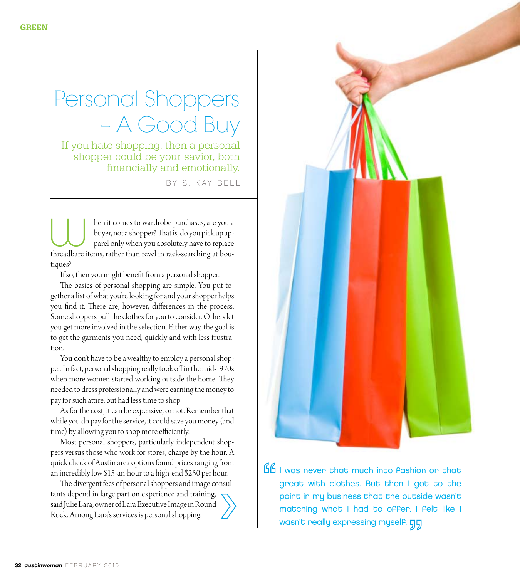# Personal Shoppers – A Good Buy

If you hate shopping, then a personal shopper could be your savior, both financially and emotionally.

BY S. KAY BELL

hen it comes to wardrobe purchases, are you a buyer, not a shopper? That is, do you pick up apparel only when you absolutely have to replace then it comes to wardrobe purchases, are you a<br>buyer, not a shopper? That is, do you pick up ap-<br>parel only when you absolutely have to replace<br>threadbare items, rather than revel in rack-searching at boutiques?

If so, then you might benefit from a personal shopper.

The basics of personal shopping are simple. You put together a list of what you're looking for and your shopper helps you find it. There are, however, differences in the process. Some shoppers pull the clothes for you to consider. Others let you get more involved in the selection. Either way, the goal is to get the garments you need, quickly and with less frustration.

You don't have to be a wealthy to employ a personal shopper. In fact, personal shopping really took off in the mid-1970s when more women started working outside the home. They needed to dress professionally and were earning the money to pay for such attire, but had less time to shop.

As for the cost, it can be expensive, or not. Remember that while you do pay for the service, it could save you money (and time) by allowing you to shop more efficiently.

Most personal shoppers, particularly independent shoppers versus those who work for stores, charge by the hour. A quick check of Austin area options found prices ranging from an incredibly low \$15-an-hour to a high-end \$250 per hour.

The divergent fees of personal shoppers and image consultants depend in large part on experience and training, said Julie Lara, owner of Lara Executive Image in Round Rock. Among Lara's services is personal shopping.



**ISL** I was never that much into Pashion or that great with clothes. But then I got to the point in my business that the outside wasn't matching what I had to offer. I felt like I wasn't really expressing myself. **GG**